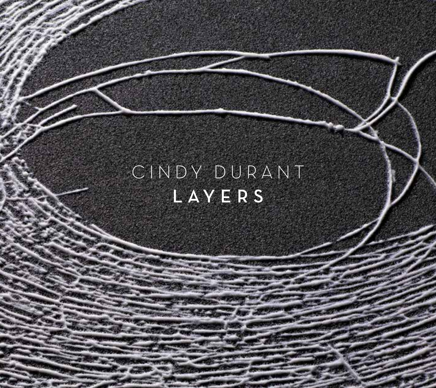# CINDY DURANT LAY E R S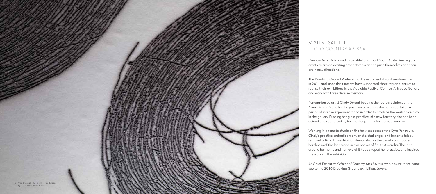

## // STEVE SAFFELL CEO, COUNTRY ARTS SA

Country Arts SA is proud to be able to support South Australian regional artists to create exciting new artworks and to push themselves and their art in new directions.

The Breaking Ground Professional Development Award was launched in 2011 and since this time, we have supported three regional artists to realise their exhibitions in the Adelaide Festival Centre's Artspace Gallery and work with three diverse mentors.

Penong-based artist Cindy Durant became the fourth recipient of the Award in 2015 and for the past twelve months she has undertaken a period of intense experimentation in order to produce the work on display in the gallery. Pushing her glass practice into new territory, she has been guided and supported by her mentor printmaker Joshua Searson.

Working in a remote studio on the far west coast of the Eyre Peninsula, Cindy's practice embodies many of the challenges and benefits felt by regional artists. This exhibition demonstrates the beauty and rugged harshness of the landscape in this pocket of South Australia. The land around her home and her love of it have shaped her practice, and inspired the works in the exhibition.

As Chief Executive Officer of Country Arts SA it is my pleasure to welcome you to the 2016 Breaking Ground exhibition, *Layers* .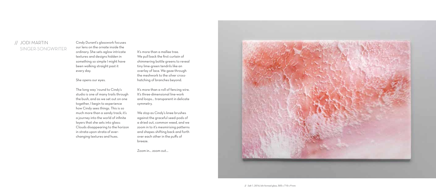## // JODI MARTIN SINGER-SONGWRITER

Cindy Durant's glasswork focuses our lens on the ornate inside the ordinary. She sets aglow intricate textures and designs hidden in something so simple I might have been walking straight past it every day.

#### She opens our eyes.

The long way 'round to Cindy's studio is one of many trails through the bush, and as we set out on one together, I begin to experience how Cindy sees things. This is so much more than a sandy track; it's a journey into the world of infinite layers that she sets into glass: Clouds disappearing to the horizon in strata upon strata of everchanging textures and hues.

It's more than a mallee tree. We pull back the first curtain of shimmering bottle greens to reveal tiny lime-green tendrils like an overlay of lace. We gaze through the meshwork to the silver crosshatching of branches beyond.

It's more than a roll of fencing wire. It's three-dimensional line-work and loops… transparent in delicate symmetry.

We stop as Cindy's knee brushes against the graceful seed-pods of a dried out, common weed, and we zoom in to it's mesmirising patterns and shapes shifting back and forth over each other in the puffs of breeze.

Zoom in… zoom out…

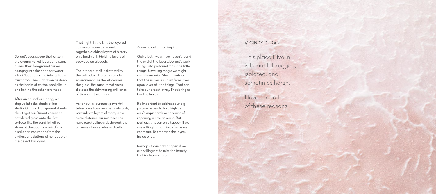Durant's eyes sweep the horizon; the creamy velvet layers of distant dunes, their foreground curves plunging into the deep saltwater lake. Clouds descend into its liquid mirror too. They sink down as deep as the banks of cotton wool pile up, one behind the other, overhead.

After an hour of exploring, we step up into the shade of her studio. Glinting transparent sheets clink together. Durant cascades powdered glass onto the flat surface, like the sand fell off our shoes at the door. She mindfully distills her inspiration from the endless undulations of her edge-ofthe-desert backyard.

That night, in the kiln, the layered colours of warm glass meld together. Melding layers of history on a landmark. Melding layers of seaweed on a beach.

The process itself is dictated by the solitude of Durant's remote environment. As the kiln warms the glass, the same remoteness dictates the shimmering brilliance of the desert night sky.

As far out as our most powerful telescopes have reached outwards, past infinite layers of stars, is the same distance our microscopes have reached inwards through the universe of molecules and cells.

### Zooming out… zooming in...

Going both ways – we haven't found the end of the layers. Durant's work brings into profound focus the little things. Unveiling magic we might sometimes miss. She reminds us that the universe is built from layer upon layer of little things. That can take our breath away. That bring us back to Earth.

It's important to address our big picture issues; to hold high as an Olympic torch our dreams of repairing a broken world. But perhaps this can only happen if we are willing to zoom in as far as we zoom out. To embrace the layers inside of us.

Perhaps it can only happen if we are willing not to miss the beauty that is already here.

## // CINDY DURANT

This place I live in is beautiful, rugged, isolated, and sometimes harsh.

I love it for all of these reasons.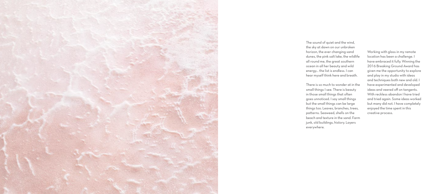

The sound of quiet and the wind, the sky at dawn on our unbroken horizon, the ever changing sand dunes, the pink salt lake, the wildlife all round me, the great southern ocean in all her beauty and wild energy… the list is endless. I can hear myself think here and breath.

There is so much to wonder at in the small things I see. There is beauty in those small things that often goes unnoticed. I say small things but the small things can be large things too. Leaves, branches, trees, patterns. Seaweed, shells on the beach and texture in the sand. Farm junk, old buildings, history. Layers everywhere.

Working with glass in my remote location has been a challenge. I have embraced it fully. Winning the 2016 Breaking Ground Award has given me the opportunity to explore and play in my studio with ideas and techniques both new and old. I have experimented and developed ideas and veered off on tangents. With reckless abandon I have tried and tried again. Some ideas worked but many did not. I have completely enjoyed the time spent in this creative process.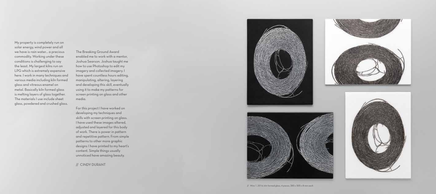My property is completely run on solar energy, wind power and all we have is rain water… a precious commodity. Working under these conditions is challenging to say the least. My largest kilns run on LPG which is extremely expensive here. I work in many techniques and various media including kiln formed glass and vitreous enamel on metal. Basically kiln formed glass is melting layers of glass together. The materials I use include sheet glass, powdered and crushed glass.

The Breaking Ground Award enabled me to work with a mentor, Joshua Searson. Joshua taught me how to use Photoshop to edit my imagery and collected imagery. I have spent countless hours editing, manipulating, altering, layering and developing this skill, eventually using it to make my patterns for screen printing on glass and other media.

For this project I have worked on developing my techniques and skills with screen printing on glass. I have used these images altered, adjusted and layered for this body of work. There is power in pattern and repetitive pattern. From simple patterns to other more graphic designs I have printed to my heart's content. Simple things usually unnoticed have amazing beauty.

// CINDY DURANT



// *Wire 1*, 2016, kiln formed glass, 4 pieces, 385 x 505 x 8 mm each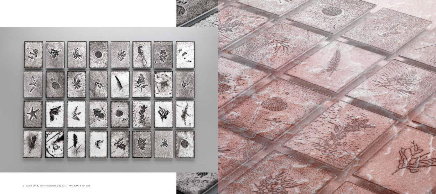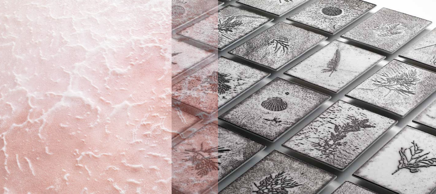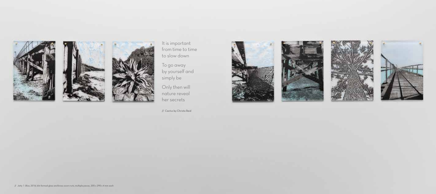





To go away by yourself and simply be Only then will nature reveal her secrets

// *Cactus* by Christo Reid







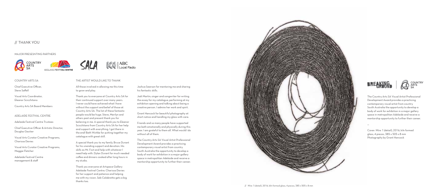#### // THANK YOU

#### MAJOR PRESESNTING PARTNERS



ADELAIDE FESTIVALCENTE



#### COUNTRY ARTS SA

Chief Executive Officer, Steve Saffell

Visual Arts Coordinator, Eleanor Scicchitano

Country Arts SA Board Members

#### ADELAIDE FESTIVAL CENTRE

Adelaide Festival Centre Trustees

Chief Executive Officer & Artistic Director, Douglas Gautier

Visual Arts Curator Creative Programs, Charissa Davies

Visual Arts Curator Creative Programs, Maggie Fletcher

Adelaide Festival Centre management & staff

#### THE ARTIST WOULD LIKE TO THANK

All those involved in allowing me this time to grow and play.

Thank you to everyone at Country Arts SA for their continued support over many years. I never could have achieved what I have without the support and belief of those at Country Arts SA. The list of these fantastic people would be huge. Steve, Merilyn and others past and present thank you for believing in me. A special thank you to Eleanor Scicchitano from Country Arts SA for her help and support with everything. I got there in the end! Beth Wuttke for putting together my catalogue with great skill.

A special thank you to my family. Bruce Durant for his unending support and devotion. His skills as Mr. Fixit and help with whatever I need help with. Dylan Durant for much needed coffee and dinners cooked after long hours in my studio.

Thank you everyone at Artspace Gallery Adelaide Festival Centre. Charissa Davies for her support and patience and helping me with my vision. Seb Calabretto gets a big thanks too.

#### Joshua Searson for mentoring me and sharing his fantastic skills.

Jodi Martin; singer and songwriter for writing the essay for my catalogue, performing at my exhibition opening and talking about being a creative person. I admire her work and spirit.

Grant Hancock for beautiful photography at short notice and handling my glass with care.

Friends and so many people have supported me both emotionally and physically during this year. I am grateful to them all. What would I do without all of them.

The Country Arts SA Visual Artist Professional Development Award provides a practicing contemporary visual artist from country South Australia the opportunity to develop a body of work for exhibition in a major gallery space in metropolitan Adelaide and receive a mentorship opportunity to further their career.





The Country Arts SA Visual Artist Professional Development Award provides a practicing contemporary visual artist from country South Australia the opportunity to develop a body of work for exhibition in a major gallery space in metropolitan Adelaide and receive a mentorship opportunity to further their career.

Cover: *Wire 1* (detail), 2016, kiln formed glass, 4 pieces, 385 x 505 x 8 mm Photography by Grant Hancock

—